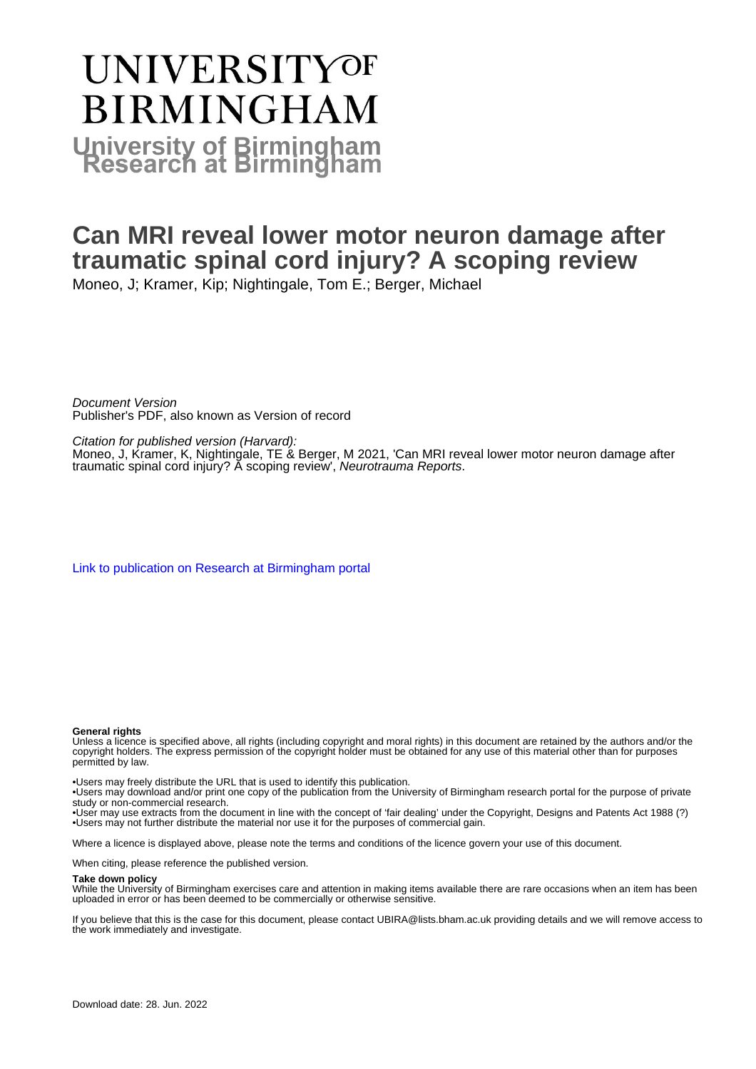# **UNIVERSITYOF BIRMINGHAM University of Birmingham**

### **Can MRI reveal lower motor neuron damage after traumatic spinal cord injury? A scoping review**

Moneo, J; Kramer, Kip; Nightingale, Tom E.; Berger, Michael

Document Version Publisher's PDF, also known as Version of record

Citation for published version (Harvard):

Moneo, J, Kramer, K, Nightingale, TE & Berger, M 2021, 'Can MRI reveal lower motor neuron damage after traumatic spinal cord injury? A scoping review', Neurotrauma Reports.

[Link to publication on Research at Birmingham portal](https://birmingham.elsevierpure.com/en/publications/9d920998-8497-4bba-ab19-abe38b9b484a)

#### **General rights**

Unless a licence is specified above, all rights (including copyright and moral rights) in this document are retained by the authors and/or the copyright holders. The express permission of the copyright holder must be obtained for any use of this material other than for purposes permitted by law.

• Users may freely distribute the URL that is used to identify this publication.

• Users may download and/or print one copy of the publication from the University of Birmingham research portal for the purpose of private study or non-commercial research.

• User may use extracts from the document in line with the concept of 'fair dealing' under the Copyright, Designs and Patents Act 1988 (?) • Users may not further distribute the material nor use it for the purposes of commercial gain.

Where a licence is displayed above, please note the terms and conditions of the licence govern your use of this document.

When citing, please reference the published version.

#### **Take down policy**

While the University of Birmingham exercises care and attention in making items available there are rare occasions when an item has been uploaded in error or has been deemed to be commercially or otherwise sensitive.

If you believe that this is the case for this document, please contact UBIRA@lists.bham.ac.uk providing details and we will remove access to the work immediately and investigate.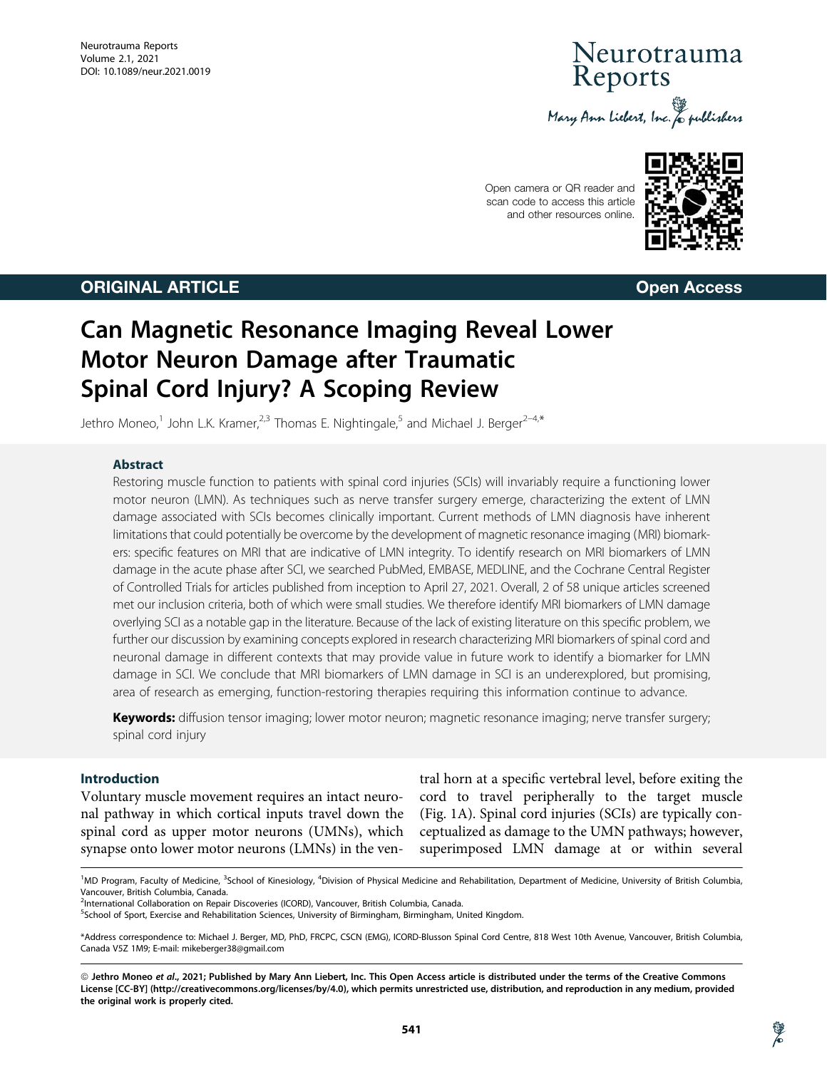## Neurotrauma<br>Reports Mary Ann Liebert, Inc. & publishers

Open camera or QR reader and scan code to access this article and other resources online.



ORIGINAL ARTICLE Open Access

## Can Magnetic Resonance Imaging Reveal Lower Motor Neuron Damage after Traumatic Spinal Cord Injury? A Scoping Review

Jethro Moneo,<sup>1</sup> John L.K. Kramer,<sup>2,3</sup> Thomas E. Nightingale,<sup>5</sup> and Michael J. Berger<sup>2-4,\*</sup>

#### Abstract

Restoring muscle function to patients with spinal cord injuries (SCIs) will invariably require a functioning lower motor neuron (LMN). As techniques such as nerve transfer surgery emerge, characterizing the extent of LMN damage associated with SCIs becomes clinically important. Current methods of LMN diagnosis have inherent limitations that could potentially be overcome by the development of magnetic resonance imaging (MRI) biomarkers: specific features on MRI that are indicative of LMN integrity. To identify research on MRI biomarkers of LMN damage in the acute phase after SCI, we searched PubMed, EMBASE, MEDLINE, and the Cochrane Central Register of Controlled Trials for articles published from inception to April 27, 2021. Overall, 2 of 58 unique articles screened met our inclusion criteria, both of which were small studies. We therefore identify MRI biomarkers of LMN damage overlying SCI as a notable gap in the literature. Because of the lack of existing literature on this specific problem, we further our discussion by examining concepts explored in research characterizing MRI biomarkers of spinal cord and neuronal damage in different contexts that may provide value in future work to identify a biomarker for LMN damage in SCI. We conclude that MRI biomarkers of LMN damage in SCI is an underexplored, but promising, area of research as emerging, function-restoring therapies requiring this information continue to advance.

Keywords: diffusion tensor imaging; lower motor neuron; magnetic resonance imaging; nerve transfer surgery; spinal cord injury

#### Introduction

Voluntary muscle movement requires an intact neuronal pathway in which cortical inputs travel down the spinal cord as upper motor neurons (UMNs), which synapse onto lower motor neurons (LMNs) in the ventral horn at a specific vertebral level, before exiting the cord to travel peripherally to the target muscle (Fig. 1A). Spinal cord injuries (SCIs) are typically conceptualized as damage to the UMN pathways; however, superimposed LMN damage at or within several

<sup>1</sup>MD Program, Faculty of Medicine, <sup>3</sup>School of Kinesiology, <sup>4</sup>Division of Physical Medicine and Rehabilitation, Department of Medicine, University of British Columbia, Vancouver, British Columbia, Canada.

<sup>&</sup>lt;sup>2</sup>International Collaboration on Repair Discoveries (ICORD), Vancouver, British Columbia, Canada.

<sup>&</sup>lt;sup>5</sup>School of Sport, Exercise and Rehabilitation Sciences, University of Birmingham, Birmingham, United Kingdom.

<sup>\*</sup>Address correspondence to: Michael J. Berger, MD, PhD, FRCPC, CSCN (EMG), ICORD-Blusson Spinal Cord Centre, 818 West 10th Avenue, Vancouver, British Columbia, Canada V5Z 1M9; E-mail: mikeberger38@gmail.com

<sup>©</sup> Jethro Moneo et al., 2021; Published by Mary Ann Liebert, Inc. This Open Access article is distributed under the terms of the Creative Commons License [CC-BY] (http://creativecommons.org/licenses/by/4.0), which permits unrestricted use, distribution, and reproduction in any medium, provided the original work is properly cited.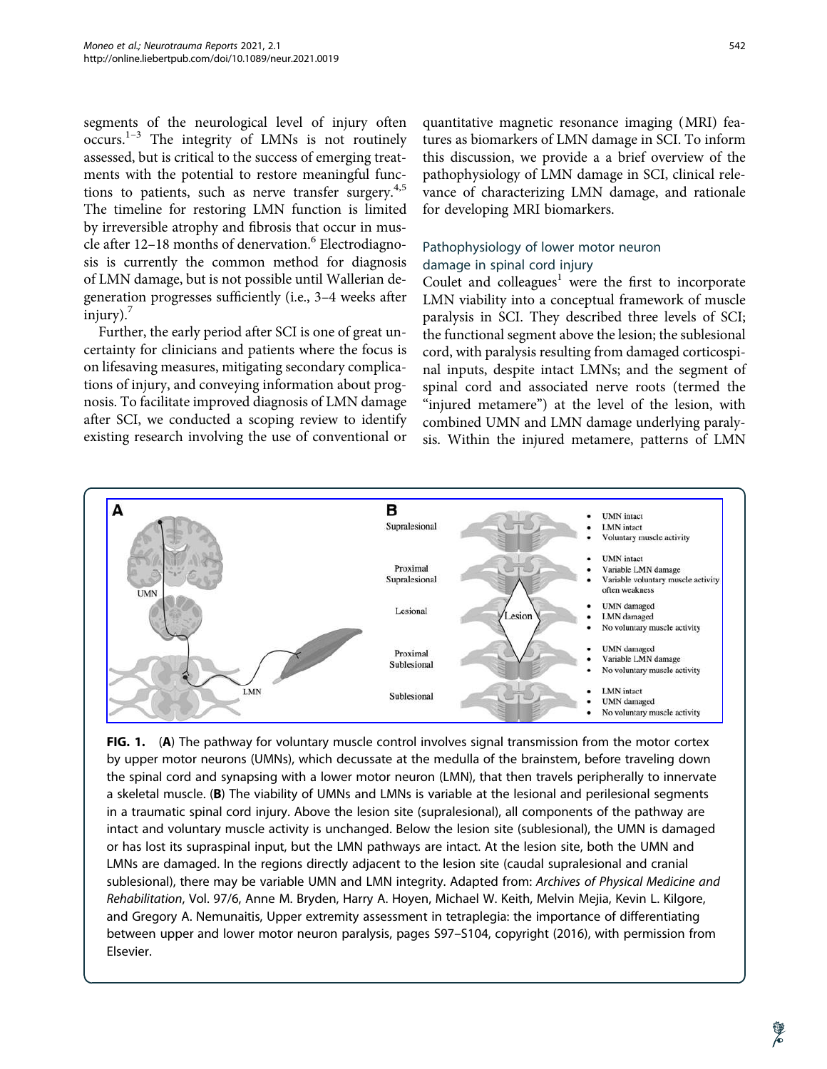segments of the neurological level of injury often  $occurs.<sup>1-3</sup>$  The integrity of LMNs is not routinely assessed, but is critical to the success of emerging treatments with the potential to restore meaningful functions to patients, such as nerve transfer surgery. $4,5$ The timeline for restoring LMN function is limited by irreversible atrophy and fibrosis that occur in muscle after  $12-18$  months of denervation.<sup>6</sup> Electrodiagnosis is currently the common method for diagnosis of LMN damage, but is not possible until Wallerian degeneration progresses sufficiently (i.e., 3–4 weeks after  $injury$ .

Further, the early period after SCI is one of great uncertainty for clinicians and patients where the focus is on lifesaving measures, mitigating secondary complications of injury, and conveying information about prognosis. To facilitate improved diagnosis of LMN damage after SCI, we conducted a scoping review to identify existing research involving the use of conventional or quantitative magnetic resonance imaging (MRI) features as biomarkers of LMN damage in SCI. To inform this discussion, we provide a a brief overview of the pathophysiology of LMN damage in SCI, clinical relevance of characterizing LMN damage, and rationale for developing MRI biomarkers.

#### Pathophysiology of lower motor neuron damage in spinal cord injury

Coulet and colleagues<sup>1</sup> were the first to incorporate LMN viability into a conceptual framework of muscle paralysis in SCI. They described three levels of SCI; the functional segment above the lesion; the sublesional cord, with paralysis resulting from damaged corticospinal inputs, despite intact LMNs; and the segment of spinal cord and associated nerve roots (termed the "injured metamere") at the level of the lesion, with combined UMN and LMN damage underlying paralysis. Within the injured metamere, patterns of LMN



FIG. 1. (A) The pathway for voluntary muscle control involves signal transmission from the motor cortex by upper motor neurons (UMNs), which decussate at the medulla of the brainstem, before traveling down the spinal cord and synapsing with a lower motor neuron (LMN), that then travels peripherally to innervate a skeletal muscle. (B) The viability of UMNs and LMNs is variable at the lesional and perilesional segments in a traumatic spinal cord injury. Above the lesion site (supralesional), all components of the pathway are intact and voluntary muscle activity is unchanged. Below the lesion site (sublesional), the UMN is damaged or has lost its supraspinal input, but the LMN pathways are intact. At the lesion site, both the UMN and LMNs are damaged. In the regions directly adjacent to the lesion site (caudal supralesional and cranial sublesional), there may be variable UMN and LMN integrity. Adapted from: Archives of Physical Medicine and Rehabilitation, Vol. 97/6, Anne M. Bryden, Harry A. Hoyen, Michael W. Keith, Melvin Mejia, Kevin L. Kilgore, and Gregory A. Nemunaitis, Upper extremity assessment in tetraplegia: the importance of differentiating between upper and lower motor neuron paralysis, pages S97–S104, copyright (2016), with permission from Elsevier.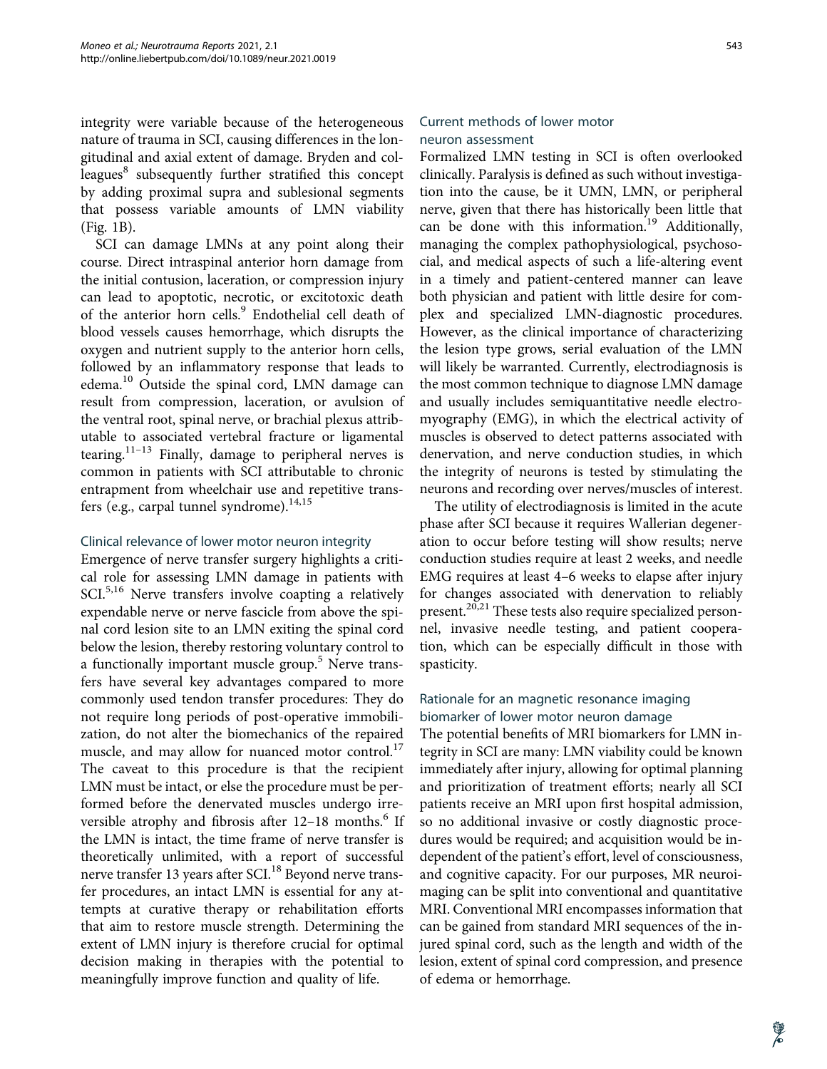integrity were variable because of the heterogeneous nature of trauma in SCI, causing differences in the longitudinal and axial extent of damage. Bryden and colleagues<sup>8</sup> subsequently further stratified this concept by adding proximal supra and sublesional segments that possess variable amounts of LMN viability (Fig. 1B).

SCI can damage LMNs at any point along their course. Direct intraspinal anterior horn damage from the initial contusion, laceration, or compression injury can lead to apoptotic, necrotic, or excitotoxic death of the anterior horn cells.<sup>9</sup> Endothelial cell death of blood vessels causes hemorrhage, which disrupts the oxygen and nutrient supply to the anterior horn cells, followed by an inflammatory response that leads to edema.<sup>10</sup> Outside the spinal cord, LMN damage can result from compression, laceration, or avulsion of the ventral root, spinal nerve, or brachial plexus attributable to associated vertebral fracture or ligamental tearing.<sup>11–13</sup> Finally, damage to peripheral nerves is common in patients with SCI attributable to chronic entrapment from wheelchair use and repetitive transfers (e.g., carpal tunnel syndrome).<sup>14,15</sup>

#### Clinical relevance of lower motor neuron integrity

Emergence of nerve transfer surgery highlights a critical role for assessing LMN damage in patients with SCI.<sup>5,16</sup> Nerve transfers involve coapting a relatively expendable nerve or nerve fascicle from above the spinal cord lesion site to an LMN exiting the spinal cord below the lesion, thereby restoring voluntary control to a functionally important muscle group.<sup>5</sup> Nerve transfers have several key advantages compared to more commonly used tendon transfer procedures: They do not require long periods of post-operative immobilization, do not alter the biomechanics of the repaired muscle, and may allow for nuanced motor control. $17$ The caveat to this procedure is that the recipient LMN must be intact, or else the procedure must be performed before the denervated muscles undergo irreversible atrophy and fibrosis after  $12-18$  months.<sup>6</sup> If the LMN is intact, the time frame of nerve transfer is theoretically unlimited, with a report of successful nerve transfer 13 years after SCI.<sup>18</sup> Beyond nerve transfer procedures, an intact LMN is essential for any attempts at curative therapy or rehabilitation efforts that aim to restore muscle strength. Determining the extent of LMN injury is therefore crucial for optimal decision making in therapies with the potential to meaningfully improve function and quality of life.

#### Current methods of lower motor neuron assessment

Formalized LMN testing in SCI is often overlooked clinically. Paralysis is defined as such without investigation into the cause, be it UMN, LMN, or peripheral nerve, given that there has historically been little that can be done with this information.<sup>19</sup> Additionally, managing the complex pathophysiological, psychosocial, and medical aspects of such a life-altering event in a timely and patient-centered manner can leave both physician and patient with little desire for complex and specialized LMN-diagnostic procedures. However, as the clinical importance of characterizing the lesion type grows, serial evaluation of the LMN will likely be warranted. Currently, electrodiagnosis is the most common technique to diagnose LMN damage and usually includes semiquantitative needle electromyography (EMG), in which the electrical activity of muscles is observed to detect patterns associated with denervation, and nerve conduction studies, in which the integrity of neurons is tested by stimulating the neurons and recording over nerves/muscles of interest.

The utility of electrodiagnosis is limited in the acute phase after SCI because it requires Wallerian degeneration to occur before testing will show results; nerve conduction studies require at least 2 weeks, and needle EMG requires at least 4–6 weeks to elapse after injury for changes associated with denervation to reliably present.<sup>20,21</sup> These tests also require specialized personnel, invasive needle testing, and patient cooperation, which can be especially difficult in those with spasticity.

#### Rationale for an magnetic resonance imaging biomarker of lower motor neuron damage

The potential benefits of MRI biomarkers for LMN integrity in SCI are many: LMN viability could be known immediately after injury, allowing for optimal planning and prioritization of treatment efforts; nearly all SCI patients receive an MRI upon first hospital admission, so no additional invasive or costly diagnostic procedures would be required; and acquisition would be independent of the patient's effort, level of consciousness, and cognitive capacity. For our purposes, MR neuroimaging can be split into conventional and quantitative MRI. Conventional MRI encompasses information that can be gained from standard MRI sequences of the injured spinal cord, such as the length and width of the lesion, extent of spinal cord compression, and presence of edema or hemorrhage.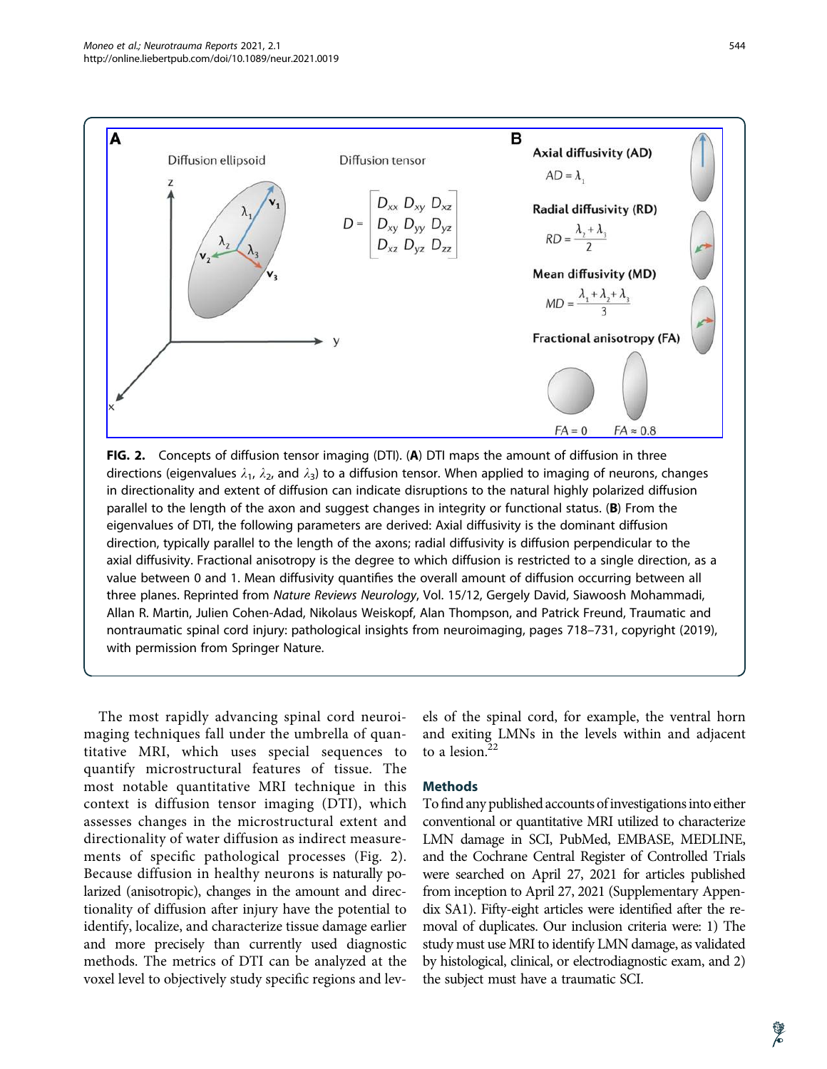

FIG. 2. Concepts of diffusion tensor imaging (DTI). (A) DTI maps the amount of diffusion in three directions (eigenvalues  $\lambda_1$ ,  $\lambda_2$ , and  $\lambda_3$ ) to a diffusion tensor. When applied to imaging of neurons, changes in directionality and extent of diffusion can indicate disruptions to the natural highly polarized diffusion parallel to the length of the axon and suggest changes in integrity or functional status. (B) From the eigenvalues of DTI, the following parameters are derived: Axial diffusivity is the dominant diffusion direction, typically parallel to the length of the axons; radial diffusivity is diffusion perpendicular to the axial diffusivity. Fractional anisotropy is the degree to which diffusion is restricted to a single direction, as a value between 0 and 1. Mean diffusivity quantifies the overall amount of diffusion occurring between all three planes. Reprinted from Nature Reviews Neurology, Vol. 15/12, Gergely David, Siawoosh Mohammadi, Allan R. Martin, Julien Cohen-Adad, Nikolaus Weiskopf, Alan Thompson, and Patrick Freund, Traumatic and nontraumatic spinal cord injury: pathological insights from neuroimaging, pages 718–731, copyright (2019), with permission from Springer Nature.

The most rapidly advancing spinal cord neuroimaging techniques fall under the umbrella of quantitative MRI, which uses special sequences to quantify microstructural features of tissue. The most notable quantitative MRI technique in this context is diffusion tensor imaging (DTI), which assesses changes in the microstructural extent and directionality of water diffusion as indirect measurements of specific pathological processes (Fig. 2). Because diffusion in healthy neurons is naturally polarized (anisotropic), changes in the amount and directionality of diffusion after injury have the potential to identify, localize, and characterize tissue damage earlier and more precisely than currently used diagnostic methods. The metrics of DTI can be analyzed at the voxel level to objectively study specific regions and levels of the spinal cord, for example, the ventral horn and exiting LMNs in the levels within and adjacent to a lesion.<sup>22</sup>

#### **Methods**

To find any published accounts of investigations into either conventional or quantitative MRI utilized to characterize LMN damage in SCI, PubMed, EMBASE, MEDLINE, and the Cochrane Central Register of Controlled Trials were searched on April 27, 2021 for articles published from inception to April 27, 2021 (Supplementary Appendix SA1). Fifty-eight articles were identified after the removal of duplicates. Our inclusion criteria were: 1) The study must use MRI to identify LMN damage, as validated by histological, clinical, or electrodiagnostic exam, and 2) the subject must have a traumatic SCI.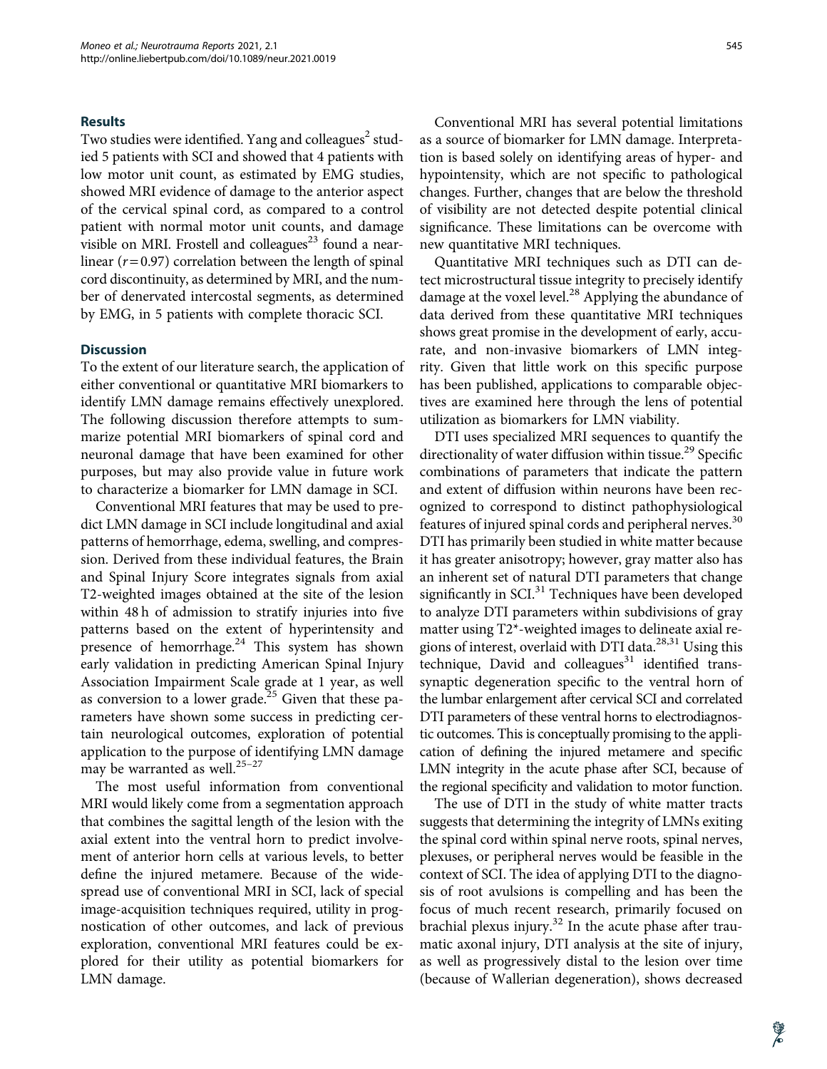#### **Results**

Two studies were identified. Yang and colleagues<sup>2</sup> studied 5 patients with SCI and showed that 4 patients with low motor unit count, as estimated by EMG studies, showed MRI evidence of damage to the anterior aspect of the cervical spinal cord, as compared to a control patient with normal motor unit counts, and damage visible on MRI. Frostell and colleagues<sup>23</sup> found a nearlinear  $(r=0.97)$  correlation between the length of spinal cord discontinuity, as determined by MRI, and the number of denervated intercostal segments, as determined by EMG, in 5 patients with complete thoracic SCI.

#### **Discussion**

To the extent of our literature search, the application of either conventional or quantitative MRI biomarkers to identify LMN damage remains effectively unexplored. The following discussion therefore attempts to summarize potential MRI biomarkers of spinal cord and neuronal damage that have been examined for other purposes, but may also provide value in future work to characterize a biomarker for LMN damage in SCI.

Conventional MRI features that may be used to predict LMN damage in SCI include longitudinal and axial patterns of hemorrhage, edema, swelling, and compression. Derived from these individual features, the Brain and Spinal Injury Score integrates signals from axial T2-weighted images obtained at the site of the lesion within 48 h of admission to stratify injuries into five patterns based on the extent of hyperintensity and presence of hemorrhage. $24$  This system has shown early validation in predicting American Spinal Injury Association Impairment Scale grade at 1 year, as well as conversion to a lower grade.<sup>25</sup> Given that these parameters have shown some success in predicting certain neurological outcomes, exploration of potential application to the purpose of identifying LMN damage may be warranted as well. $25-27$ 

The most useful information from conventional MRI would likely come from a segmentation approach that combines the sagittal length of the lesion with the axial extent into the ventral horn to predict involvement of anterior horn cells at various levels, to better define the injured metamere. Because of the widespread use of conventional MRI in SCI, lack of special image-acquisition techniques required, utility in prognostication of other outcomes, and lack of previous exploration, conventional MRI features could be explored for their utility as potential biomarkers for LMN damage.

Conventional MRI has several potential limitations as a source of biomarker for LMN damage. Interpretation is based solely on identifying areas of hyper- and hypointensity, which are not specific to pathological changes. Further, changes that are below the threshold of visibility are not detected despite potential clinical significance. These limitations can be overcome with new quantitative MRI techniques.

Quantitative MRI techniques such as DTI can detect microstructural tissue integrity to precisely identify damage at the voxel level. $^{28}$  Applying the abundance of data derived from these quantitative MRI techniques shows great promise in the development of early, accurate, and non-invasive biomarkers of LMN integrity. Given that little work on this specific purpose has been published, applications to comparable objectives are examined here through the lens of potential utilization as biomarkers for LMN viability.

DTI uses specialized MRI sequences to quantify the directionality of water diffusion within tissue.<sup>29</sup> Specific combinations of parameters that indicate the pattern and extent of diffusion within neurons have been recognized to correspond to distinct pathophysiological features of injured spinal cords and peripheral nerves.<sup>30</sup> DTI has primarily been studied in white matter because it has greater anisotropy; however, gray matter also has an inherent set of natural DTI parameters that change significantly in SCI.<sup>31</sup> Techniques have been developed to analyze DTI parameters within subdivisions of gray matter using T2\*-weighted images to delineate axial regions of interest, overlaid with DTI data.28,31 Using this technique, David and colleagues $31$  identified transsynaptic degeneration specific to the ventral horn of the lumbar enlargement after cervical SCI and correlated DTI parameters of these ventral horns to electrodiagnostic outcomes. This is conceptually promising to the application of defining the injured metamere and specific LMN integrity in the acute phase after SCI, because of the regional specificity and validation to motor function.

The use of DTI in the study of white matter tracts suggests that determining the integrity of LMNs exiting the spinal cord within spinal nerve roots, spinal nerves, plexuses, or peripheral nerves would be feasible in the context of SCI. The idea of applying DTI to the diagnosis of root avulsions is compelling and has been the focus of much recent research, primarily focused on brachial plexus injury. $32$  In the acute phase after traumatic axonal injury, DTI analysis at the site of injury, as well as progressively distal to the lesion over time (because of Wallerian degeneration), shows decreased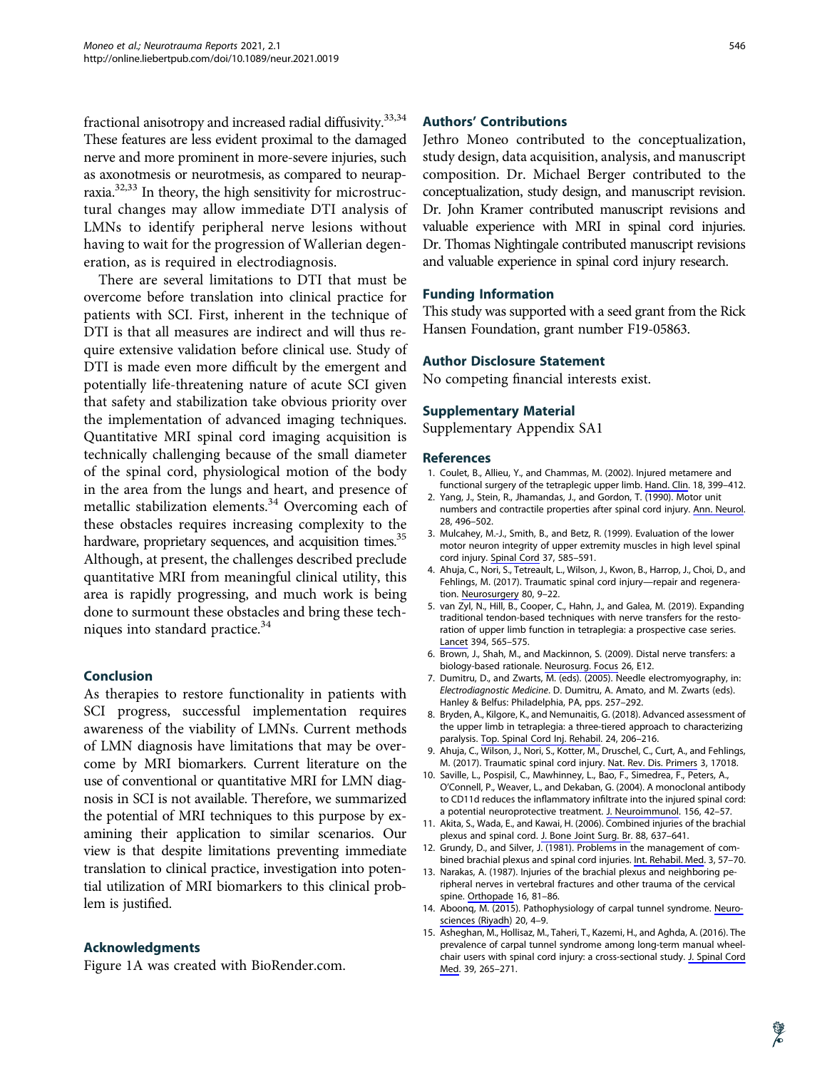fractional anisotropy and increased radial diffusivity.<sup>33,34</sup> These features are less evident proximal to the damaged nerve and more prominent in more-severe injuries, such as axonotmesis or neurotmesis, as compared to neurapraxia.32,33 In theory, the high sensitivity for microstructural changes may allow immediate DTI analysis of LMNs to identify peripheral nerve lesions without having to wait for the progression of Wallerian degeneration, as is required in electrodiagnosis.

There are several limitations to DTI that must be overcome before translation into clinical practice for patients with SCI. First, inherent in the technique of DTI is that all measures are indirect and will thus require extensive validation before clinical use. Study of DTI is made even more difficult by the emergent and potentially life-threatening nature of acute SCI given that safety and stabilization take obvious priority over the implementation of advanced imaging techniques. Quantitative MRI spinal cord imaging acquisition is technically challenging because of the small diameter of the spinal cord, physiological motion of the body in the area from the lungs and heart, and presence of metallic stabilization elements.<sup>34</sup> Overcoming each of these obstacles requires increasing complexity to the hardware, proprietary sequences, and acquisition times.<sup>35</sup> Although, at present, the challenges described preclude quantitative MRI from meaningful clinical utility, this area is rapidly progressing, and much work is being done to surmount these obstacles and bring these techniques into standard practice.<sup>34</sup>

#### Conclusion

As therapies to restore functionality in patients with SCI progress, successful implementation requires awareness of the viability of LMNs. Current methods of LMN diagnosis have limitations that may be overcome by MRI biomarkers. Current literature on the use of conventional or quantitative MRI for LMN diagnosis in SCI is not available. Therefore, we summarized the potential of MRI techniques to this purpose by examining their application to similar scenarios. Our view is that despite limitations preventing immediate translation to clinical practice, investigation into potential utilization of MRI biomarkers to this clinical problem is justified.

#### Acknowledgments

Figure 1A was created with BioRender.com.

#### Authors' Contributions

Jethro Moneo contributed to the conceptualization, study design, data acquisition, analysis, and manuscript composition. Dr. Michael Berger contributed to the conceptualization, study design, and manuscript revision. Dr. John Kramer contributed manuscript revisions and valuable experience with MRI in spinal cord injuries. Dr. Thomas Nightingale contributed manuscript revisions and valuable experience in spinal cord injury research.

#### Funding Information

This study was supported with a seed grant from the Rick Hansen Foundation, grant number F19-05863.

#### Author Disclosure Statement

No competing financial interests exist.

#### Supplementary Material

Supplementary Appendix SA1

#### **References**

- 1. Coulet, B., Allieu, Y., and Chammas, M. (2002). Injured metamere and functional surgery of the tetraplegic upper limb. [Hand. Clin.](https://www.liebertpub.com/action/showLinks?pmid=12474592&crossref=10.1016%2FS0749-0712%2802%2900020-3&citationId=p_5) 18, 399–412.
- 2. Yang, J., Stein, R., Jhamandas, J., and Gordon, T. (1990). Motor unit numbers and contractile properties after spinal cord injury. [Ann. Neurol.](https://www.liebertpub.com/action/showLinks?pmid=2252362&crossref=10.1002%2Fana.410280405&citationId=p_6) 28, 496–502.
- 3. Mulcahey, M.-J., Smith, B., and Betz, R. (1999). Evaluation of the lower motor neuron integrity of upper extremity muscles in high level spinal cord injury. [Spinal Cord](https://www.liebertpub.com/action/showLinks?pmid=10455536&crossref=10.1038%2Fsj.sc.3100889&citationId=p_7) 37, 585–591.
- 4. Ahuja, C., Nori, S., Tetreault, L., Wilson, J., Kwon, B., Harrop, J., Choi, D., and Fehlings, M. (2017). Traumatic spinal cord injury—repair and regenera-tion. [Neurosurgery](https://www.liebertpub.com/action/showLinks?pmid=28350947&crossref=10.1093%2Fneuros%2Fnyw080&citationId=p_8) 80, 9-22.
- 5. van Zyl, N., Hill, B., Cooper, C., Hahn, J., and Galea, M. (2019). Expanding traditional tendon-based techniques with nerve transfers for the restoration of upper limb function in tetraplegia: a prospective case series. [Lancet](https://www.liebertpub.com/action/showLinks?pmid=31280969&crossref=10.1016%2FS0140-6736%2819%2931143-2&citationId=p_9) 394, 565–575.
- 6. Brown, J., Shah, M., and Mackinnon, S. (2009). Distal nerve transfers: a biology-based rationale. [Neurosurg. Focus](https://www.liebertpub.com/action/showLinks?pmid=19416056&crossref=10.3171%2FFOC.2009.26.2.E12&citationId=p_10) 26, E12.
- 7. Dumitru, D., and Zwarts, M. (eds). (2005). Needle electromyography, in: Electrodiagnostic Medicine. D. Dumitru, A. Amato, and M. Zwarts (eds). Hanley & Belfus: Philadelphia, PA, pps. 257–292.
- 8. Bryden, A., Kilgore, K., and Nemunaitis, G. (2018). Advanced assessment of the upper limb in tetraplegia: a three-tiered approach to characterizing paralysis. [Top. Spinal Cord Inj. Rehabil.](https://www.liebertpub.com/action/showLinks?pmid=29997424&crossref=10.1310%2Fsci2403-206&citationId=p_12) 24, 206–216.
- 9. Ahuja, C., Wilson, J., Nori, S., Kotter, M., Druschel, C., Curt, A., and Fehlings, M. (2017). Traumatic spinal cord injury. [Nat. Rev. Dis. Primers](https://www.liebertpub.com/action/showLinks?pmid=28447605&crossref=10.1038%2Fnrdp.2017.18&citationId=p_13) 3, 17018.
- 10. Saville, L., Pospisil, C., Mawhinney, L., Bao, F., Simedrea, F., Peters, A., O'Connell, P., Weaver, L., and Dekaban, G. (2004). A monoclonal antibody to CD11d reduces the inflammatory infiltrate into the injured spinal cord: a potential neuroprotective treatment. [J. Neuroimmunol.](https://www.liebertpub.com/action/showLinks?pmid=15465595&crossref=10.1016%2Fj.jneuroim.2004.07.002&citationId=p_14) 156, 42–57.
- 11. Akita, S., Wada, E., and Kawai, H. (2006). Combined injuries of the brachial plexus and spinal cord. [J. Bone Joint Surg. Br](https://www.liebertpub.com/action/showLinks?pmid=16645111&crossref=10.1302%2F0301-620X.88B5.17175&citationId=p_15). 88, 637–641.
- 12. Grundy, D., and Silver, J. (1981). Problems in the management of combined brachial plexus and spinal cord injuries. [Int. Rehabil. Med](https://www.liebertpub.com/action/showLinks?pmid=7309400&citationId=p_16). 3, 57–70.
- 13. Narakas, A. (1987). Injuries of the brachial plexus and neighboring peripheral nerves in vertebral fractures and other trauma of the cervical spine. [Orthopade](https://www.liebertpub.com/action/showLinks?pmid=3574946&citationId=p_17) 16, 81–86.
- 14. Aboonq, M. (2015). Pathophysiology of carpal tunnel syndrome. [Neuro](https://www.liebertpub.com/action/showLinks?pmid=25630774&citationId=p_18)[sciences \(Riyadh](https://www.liebertpub.com/action/showLinks?pmid=25630774&citationId=p_18)) 20, 4–9.
- 15. Asheghan, M., Hollisaz, M., Taheri, T., Kazemi, H., and Aghda, A. (2016). The prevalence of carpal tunnel syndrome among long-term manual wheelchair users with spinal cord injury: a cross-sectional study. [J. Spinal Cord](https://www.liebertpub.com/action/showLinks?pmid=26182184&crossref=10.1179%2F2045772315Y.0000000033&citationId=p_19) [Med.](https://www.liebertpub.com/action/showLinks?pmid=26182184&crossref=10.1179%2F2045772315Y.0000000033&citationId=p_19) 39, 265–271.